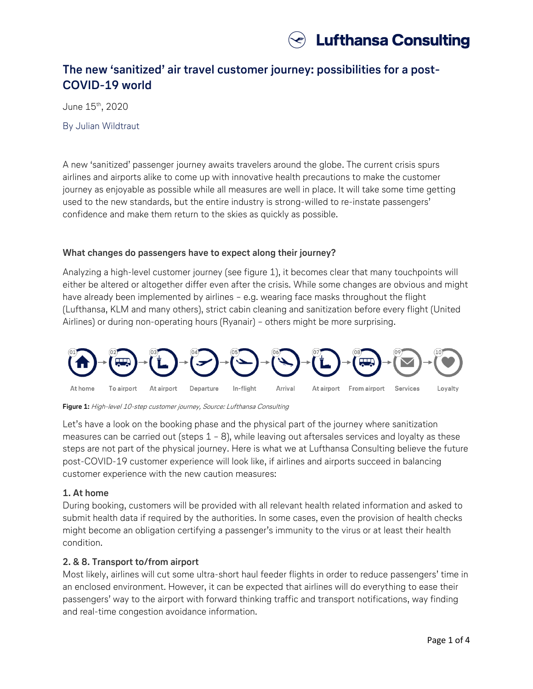

# **The new 'sanitized' air travel customer journey: possibilities for a post-COVID-19 world**

June 15th, 2020

By Julian Wildtraut

A new 'sanitized' passenger journey awaits travelers around the globe. The current crisis spurs airlines and airports alike to come up with innovative health precautions to make the customer journey as enjoyable as possible while all measures are well in place. It will take some time getting used to the new standards, but the entire industry is strong-willed to re-instate passengers' confidence and make them return to the skies as quickly as possible.

#### **What changes do passengers have to expect along their journey?**

Analyzing a high-level customer journey (see figure 1), it becomes clear that many touchpoints will either be altered or altogether differ even after the crisis. While some changes are obvious and might have already been implemented by airlines – e.g. wearing face masks throughout the flight (Lufthansa, KLM and many others), strict cabin cleaning and sanitization before every flight (United Airlines) or during non-operating hours (Ryanair) – others might be more surprising.



**Figure 1:** High-level 10-step customer journey, Source: Lufthansa Consulting

Let's have a look on the booking phase and the physical part of the journey where sanitization measures can be carried out (steps  $1 - 8$ ), while leaving out aftersales services and loyalty as these steps are not part of the physical journey. Here is what we at Lufthansa Consulting believe the future post-COVID-19 customer experience will look like, if airlines and airports succeed in balancing customer experience with the new caution measures:

### **1. At home**

During booking, customers will be provided with all relevant health related information and asked to submit health data if required by the authorities. In some cases, even the provision of health checks might become an obligation certifying a passenger's immunity to the virus or at least their health condition.

### **2. & 8. Transport to/from airport**

Most likely, airlines will cut some ultra-short haul feeder flights in order to reduce passengers' time in an enclosed environment. However, it can be expected that airlines will do everything to ease their passengers' way to the airport with forward thinking traffic and transport notifications, way finding and real-time congestion avoidance information.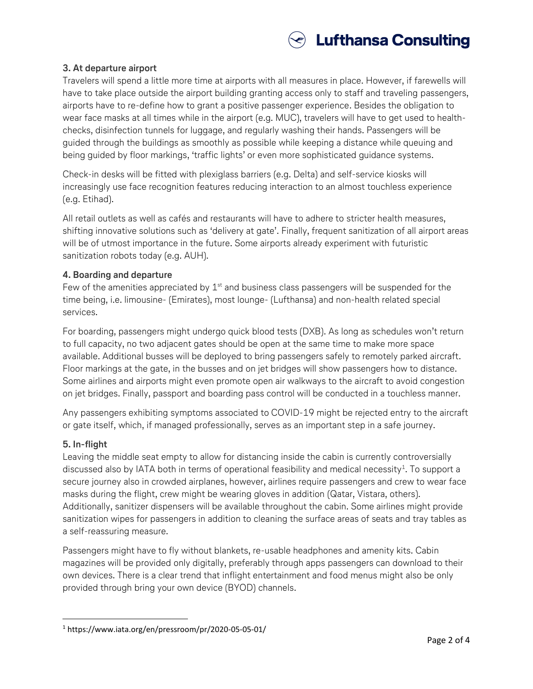

# **3. At departure airport**

Travelers will spend a little more time at airports with all measures in place. However, if farewells will have to take place outside the airport building granting access only to staff and traveling passengers, airports have to re-define how to grant a positive passenger experience. Besides the obligation to wear face masks at all times while in the airport (e.g. MUC), travelers will have to get used to healthchecks, disinfection tunnels for luggage, and regularly washing their hands. Passengers will be guided through the buildings as smoothly as possible while keeping a distance while queuing and being guided by floor markings, 'traffic lights' or even more sophisticated guidance systems.

Check-in desks will be fitted with plexiglass barriers (e.g. Delta) and self-service kiosks will increasingly use face recognition features reducing interaction to an almost touchless experience (e.g. Etihad).

All retail outlets as well as cafés and restaurants will have to adhere to stricter health measures, shifting innovative solutions such as 'delivery at gate'. Finally, frequent sanitization of all airport areas will be of utmost importance in the future. Some airports already experiment with futuristic sanitization robots today (e.g. AUH).

### **4. Boarding and departure**

Few of the amenities appreciated by  $1<sup>st</sup>$  and business class passengers will be suspended for the time being, i.e. limousine- (Emirates), most lounge- (Lufthansa) and non-health related special services.

For boarding, passengers might undergo quick blood tests (DXB). As long as schedules won't return to full capacity, no two adjacent gates should be open at the same time to make more space available. Additional busses will be deployed to bring passengers safely to remotely parked aircraft. Floor markings at the gate, in the busses and on jet bridges will show passengers how to distance. Some airlines and airports might even promote open air walkways to the aircraft to avoid congestion on jet bridges. Finally, passport and boarding pass control will be conducted in a touchless manner.

Any passengers exhibiting symptoms associated to COVID-19 might be rejected entry to the aircraft or gate itself, which, if managed professionally, serves as an important step in a safe journey.

### **5. In-flight**

l

Leaving the middle seat empty to allow for distancing inside the cabin is currently controversially discussed also by IATA both in terms of operational feasibility and medical necessity $^1$ . To support a secure journey also in crowded airplanes, however, airlines require passengers and crew to wear face masks during the flight, crew might be wearing gloves in addition (Qatar, Vistara, others). Additionally, sanitizer dispensers will be available throughout the cabin. Some airlines might provide sanitization wipes for passengers in addition to cleaning the surface areas of seats and tray tables as a self-reassuring measure.

Passengers might have to fly without blankets, re-usable headphones and amenity kits. Cabin magazines will be provided only digitally, preferably through apps passengers can download to their own devices. There is a clear trend that inflight entertainment and food menus might also be only provided through bring your own device (BYOD) channels.

<sup>1</sup> https://www.iata.org/en/pressroom/pr/2020-05-05-01/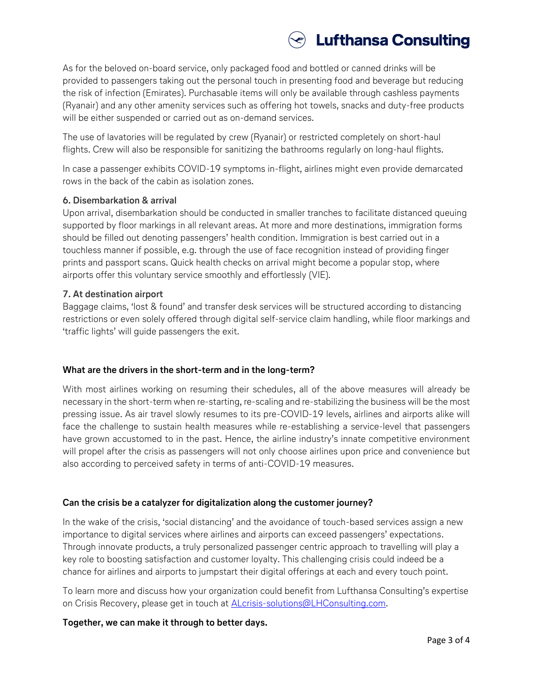# **Lufthansa Consulting**

As for the beloved on-board service, only packaged food and bottled or canned drinks will be provided to passengers taking out the personal touch in presenting food and beverage but reducing the risk of infection (Emirates). Purchasable items will only be available through cashless payments (Ryanair) and any other amenity services such as offering hot towels, snacks and duty-free products will be either suspended or carried out as on-demand services.

The use of lavatories will be regulated by crew (Ryanair) or restricted completely on short-haul flights. Crew will also be responsible for sanitizing the bathrooms regularly on long-haul flights.

In case a passenger exhibits COVID-19 symptoms in-flight, airlines might even provide demarcated rows in the back of the cabin as isolation zones.

# **6. Disembarkation & arrival**

Upon arrival, disembarkation should be conducted in smaller tranches to facilitate distanced queuing supported by floor markings in all relevant areas. At more and more destinations, immigration forms should be filled out denoting passengers' health condition. Immigration is best carried out in a touchless manner if possible, e.g. through the use of face recognition instead of providing finger prints and passport scans. Quick health checks on arrival might become a popular stop, where airports offer this voluntary service smoothly and effortlessly (VIE).

# **7. At destination airport**

Baggage claims, 'lost & found' and transfer desk services will be structured according to distancing restrictions or even solely offered through digital self-service claim handling, while floor markings and 'traffic lights' will guide passengers the exit.

# **What are the drivers in the short-term and in the long-term?**

With most airlines working on resuming their schedules, all of the above measures will already be necessary in the short-term when re-starting, re-scaling and re-stabilizing the business will be the most pressing issue. As air travel slowly resumes to its pre-COVID-19 levels, airlines and airports alike will face the challenge to sustain health measures while re-establishing a service-level that passengers have grown accustomed to in the past. Hence, the airline industry's innate competitive environment will propel after the crisis as passengers will not only choose airlines upon price and convenience but also according to perceived safety in terms of anti-COVID-19 measures.

# **Can the crisis be a catalyzer for digitalization along the customer journey?**

In the wake of the crisis, 'social distancing' and the avoidance of touch-based services assign a new importance to digital services where airlines and airports can exceed passengers' expectations. Through innovate products, a truly personalized passenger centric approach to travelling will play a key role to boosting satisfaction and customer loyalty. This challenging crisis could indeed be a chance for airlines and airports to jumpstart their digital offerings at each and every touch point.

To learn more and discuss how your organization could benefit from Lufthansa Consulting's expertise on Crisis Recovery, please get in touch at **ALcrisis-solutions@LHConsulting.com**.

# **Together, we can make it through to better days.**